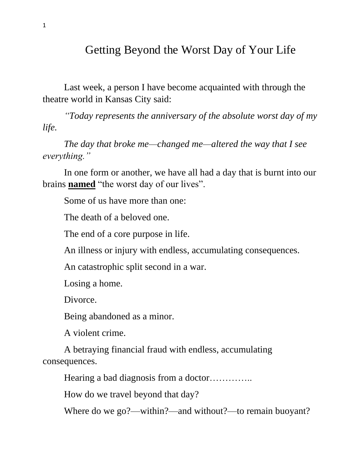## Getting Beyond the Worst Day of Your Life

Last week, a person I have become acquainted with through the theatre world in Kansas City said:

*"Today represents the anniversary of the absolute worst day of my life.* 

*The day that broke me—changed me—altered the way that I see everything."*

In one form or another, we have all had a day that is burnt into our brains **named** "the worst day of our lives".

Some of us have more than one:

The death of a beloved one.

The end of a core purpose in life.

An illness or injury with endless, accumulating consequences.

An catastrophic split second in a war.

Losing a home.

Divorce.

Being abandoned as a minor.

A violent crime.

A betraying financial fraud with endless, accumulating consequences.

Hearing a bad diagnosis from a doctor…………..

How do we travel beyond that day?

Where do we go?—within?—and without?—to remain buoyant?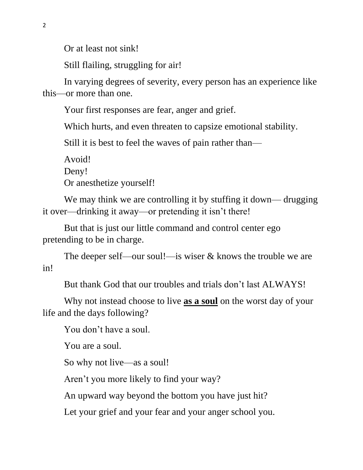Or at least not sink!

Still flailing, struggling for air!

In varying degrees of severity, every person has an experience like this—or more than one.

Your first responses are fear, anger and grief.

Which hurts, and even threaten to capsize emotional stability.

Still it is best to feel the waves of pain rather than—

Avoid!

Deny!

Or anesthetize yourself!

We may think we are controlling it by stuffing it down— drugging it over—drinking it away—or pretending it isn't there!

But that is just our little command and control center ego pretending to be in charge.

The deeper self—our soul!—is wiser & knows the trouble we are in!

But thank God that our troubles and trials don't last ALWAYS!

Why not instead choose to live **as a soul** on the worst day of your life and the days following?

You don't have a soul.

You are a soul.

So why not live—as a soul!

Aren't you more likely to find your way?

An upward way beyond the bottom you have just hit?

Let your grief and your fear and your anger school you.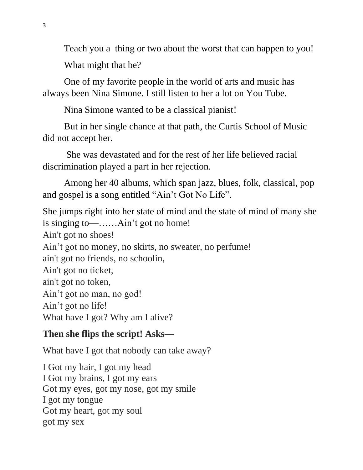Teach you a thing or two about the worst that can happen to you! What might that be?

One of my favorite people in the world of arts and music has always been Nina Simone. I still listen to her a lot on You Tube.

Nina Simone wanted to be a classical pianist!

But in her single chance at that path, the Curtis School of Music did not accept her.

 She was devastated and for the rest of her life believed racial discrimination played a part in her rejection.

Among her 40 albums, which span jazz, blues, folk, classical, pop and gospel is a song entitled "Ain't Got No Life".

She jumps right into her state of mind and the state of mind of many she is singing to—……Ain't got no home! Ain't got no shoes! Ain't got no money, no skirts, no sweater, no perfume! ain't got no friends, no schoolin, Ain't got no ticket, ain't got no token, Ain't got no man, no god! Ain't got no life! What have I got? Why am I alive?

## **Then she flips the script! Asks—**

What have I got that nobody can take away?

I Got my hair, I got my head I Got my brains, I got my ears Got my eyes, got my nose, got my smile I got my tongue Got my heart, got my soul got my sex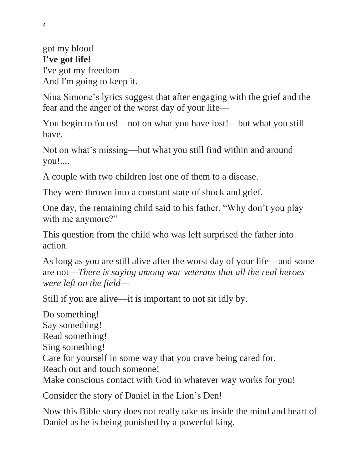got my blood **I've got life!**  I've got my freedom And I'm going to keep it.

Nina Simone's lyrics suggest that after engaging with the grief and the fear and the anger of the worst day of your life—

You begin to focus!—not on what you have lost!—but what you still have.

Not on what's missing—but what you still find within and around you!....

A couple with two children lost one of them to a disease.

They were thrown into a constant state of shock and grief.

One day, the remaining child said to his father, "Why don't you play with me anymore?"

This question from the child who was left surprised the father into action.

As long as you are still alive after the worst day of your life—and some are not—*There is saying among war veterans that all the real heroes were left on the field—*

Still if you are alive—it is important to not sit idly by.

Do something! Say something! Read something! Sing something! Care for yourself in some way that you crave being cared for. Reach out and touch someone! Make conscious contact with God in whatever way works for you!

Consider the story of Daniel in the Lion's Den!

Now this Bible story does not really take us inside the mind and heart of Daniel as he is being punished by a powerful king.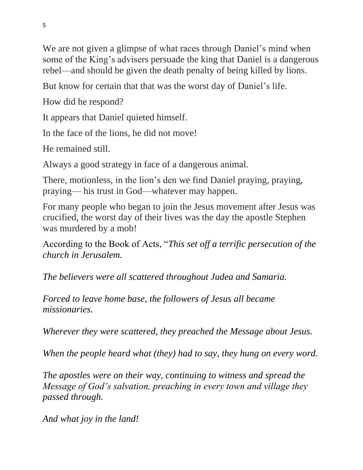We are not given a glimpse of what races through Daniel's mind when some of the King's advisers persuade the king that Daniel is a dangerous rebel—and should be given the death penalty of being killed by lions.

But know for certain that that was the worst day of Daniel's life.

How did he respond?

It appears that Daniel quieted himself.

In the face of the lions, he did not move!

He remained still.

Always a good strategy in face of a dangerous animal.

There, motionless, in the lion's den we find Daniel praying, praying, praying— his trust in God—whatever may happen.

For many people who began to join the Jesus movement after Jesus was crucified, the worst day of their lives was the day the apostle Stephen was murdered by a mob!

According to the Book of Acts, "*This set off a terrific persecution of the church in Jerusalem.* 

*The believers were all scattered throughout Judea and Samaria.* 

*Forced to leave home base, the followers of Jesus all became missionaries.* 

*Wherever they were scattered, they preached the Message about Jesus.* 

*When the people heard what (they) had to say, they hung on every word.* 

*The apostles were on their way, continuing to witness and spread the Message of God's salvation, preaching in every town and village they passed through.*

*And what joy in the land!*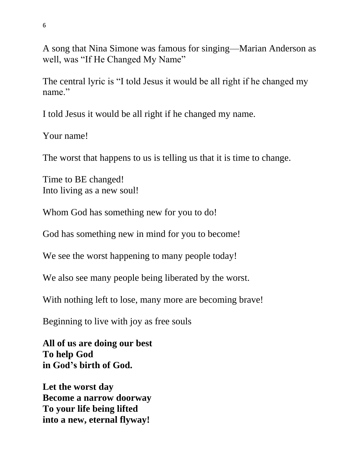A song that Nina Simone was famous for singing—Marian Anderson as well, was "If He Changed My Name"

The central lyric is "I told Jesus it would be all right if he changed my name."

I told Jesus it would be all right if he changed my name.

Your name!

The worst that happens to us is telling us that it is time to change.

Time to BE changed! Into living as a new soul!

Whom God has something new for you to do!

God has something new in mind for you to become!

We see the worst happening to many people today!

We also see many people being liberated by the worst.

With nothing left to lose, many more are becoming brave!

Beginning to live with joy as free souls

**All of us are doing our best To help God in God's birth of God.**

**Let the worst day Become a narrow doorway To your life being lifted into a new, eternal flyway!**